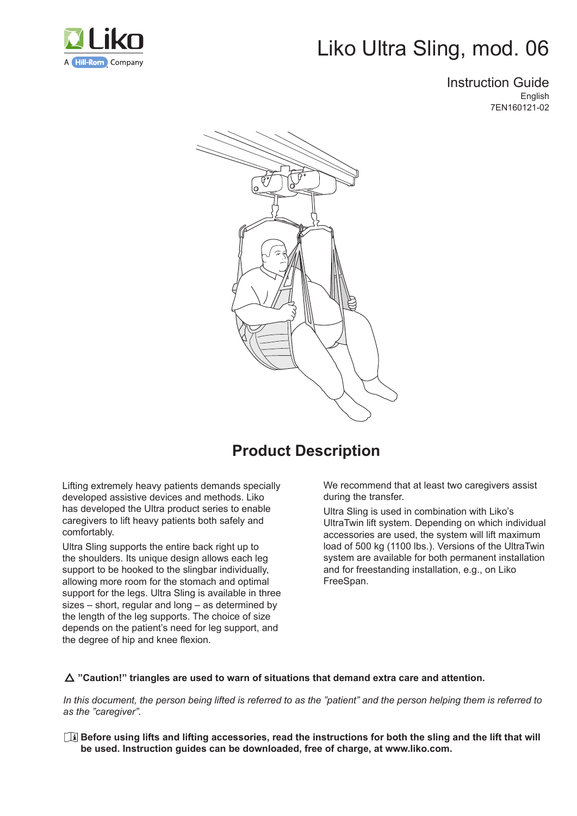

# Liko Ultra Sling, mod. 06

Instruction Guide **English** 7EN160121-02



## **Product Description**

Lifting extremely heavy patients demands specially developed assistive devices and methods. Liko has developed the Ultra product series to enable caregivers to lift heavy patients both safely and comfortably.

Ultra Sling supports the entire back right up to the shoulders. Its unique design allows each leg support to be hooked to the slingbar individually, allowing more room for the stomach and optimal support for the legs. Ultra Sling is available in three sizes – short, regular and long – as determined by the length of the leg supports. The choice of size depends on the patient's need for leg support, and the degree of hip and knee flexion.

We recommend that at least two caregivers assist during the transfer.

Ultra Sling is used in combination with Liko's UltraTwin lift system. Depending on which individual accessories are used, the system will lift maximum load of 500 kg (1100 lbs.). Versions of the UltraTwin system are available for both permanent installation and for freestanding installation, e.g., on Liko FreeSpan.

#### **"Caution!" triangles are used to warn of situations that demand extra care and attention.**

In this document, the person being lifted is referred to as the "patient" and the person helping them is referred to *as the "caregiver".* 

 **Before using lifts and lifting accessories, read the instructions for both the sling and the lift that will be used. Instruction guides can be downloaded, free of charge, at www.liko.com.**